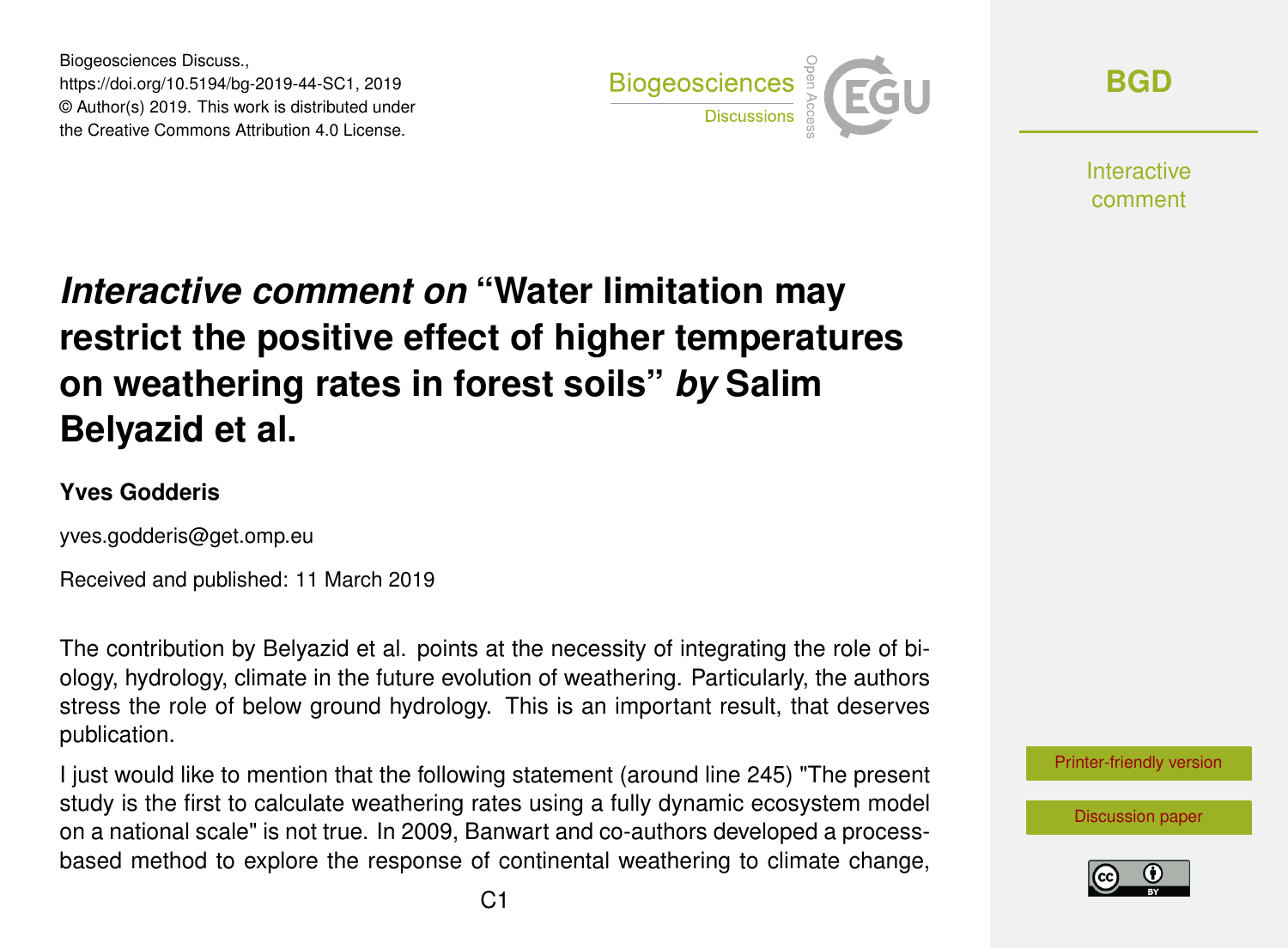Biogeosciences Discuss., https://doi.org/10.5194/bg-2019-44-SC1, 2019 © Author(s) 2019. This work is distributed under the Creative Commons Attribution 4.0 License.



**[BGD](https://www.biogeosciences-discuss.net/)**

**Interactive** comment

## *Interactive comment on* **"Water limitation may restrict the positive effect of higher temperatures on weathering rates in forest soils"** *by* **Salim Belyazid et al.**

## **Yves Godderis**

yves.godderis@get.omp.eu

Received and published: 11 March 2019

The contribution by Belyazid et al. points at the necessity of integrating the role of biology, hydrology, climate in the future evolution of weathering. Particularly, the authors stress the role of below ground hydrology. This is an important result, that deserves publication.

I just would like to mention that the following statement (around line 245) "The present study is the first to calculate weathering rates using a fully dynamic ecosystem model on a national scale" is not true. In 2009, Banwart and co-authors developed a processbased method to explore the response of continental weathering to climate change,



[Discussion paper](https://www.biogeosciences-discuss.net/bg-2019-44)